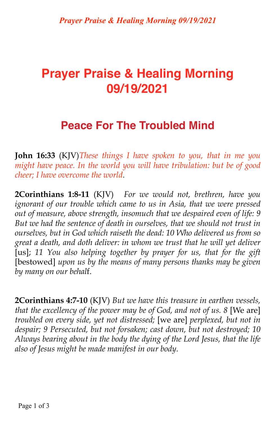# **Prayer Praise & Healing Morning 09/19/2021**

## **Peace For The Troubled Mind**

**John 16:33** (KJV)*These things I have spoken to you, that in me you might have peace. In the world you will have tribulation: but be of good cheer; I have overcome the world*.

**2Corinthians 1:8-11** (KJV) *For we would not, brethren, have you ignorant of our trouble which came to us in Asia, that we were pressed out of measure, above strength, insomuch that we despaired even of life: 9 But we had the sentence of death in ourselves, that we should not trust in ourselves, but in God which raiseth the dead: 10 Who delivered us from so great a death, and doth deliver: in whom we trust that he will yet deliver*  [us]; 11 You also helping together by prayer for us, that for the gift [bestowed] *upon us by the means of many persons thanks may be given by many on our behal*f.

**2Corinthians 4:7-10** (KJV) *But we have this treasure in earthen vessels, that the excellency of the power may be of God, and not of us. 8* [We are] *troubled on every side, yet not distressed;* [we are] *perplexed, but not in despair; 9 Persecuted, but not forsaken; cast down, but not destroyed; 10 Always bearing about in the body the dying of the Lord Jesus, that the life also of Jesus might be made manifest in our body*.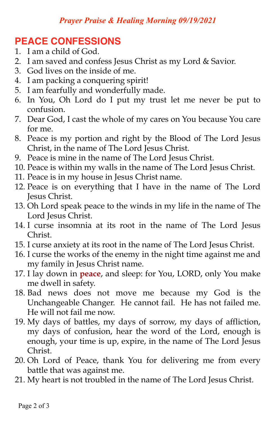#### *Prayer Praise & Healing Morning 09/19/2021*

### **PEACE CONFESSIONS**

- 1. I am a child of God.
- 2. I am saved and confess Jesus Christ as my Lord & Savior.
- 3. God lives on the inside of me.
- 4. I am packing a conquering spirit!
- 5. I am fearfully and wonderfully made.
- 6. In You, Oh Lord do I put my trust let me never be put to confusion.
- 7. Dear God, I cast the whole of my cares on You because You care for me.
- 8. Peace is my portion and right by the Blood of The Lord Jesus Christ, in the name of The Lord Jesus Christ.
- 9. Peace is mine in the name of The Lord Jesus Christ.
- 10. Peace is within my walls in the name of The Lord Jesus Christ.
- 11. Peace is in my house in Jesus Christ name.
- 12. Peace is on everything that I have in the name of The Lord Jesus Christ.
- 13. Oh Lord speak peace to the winds in my life in the name of The Lord Jesus Christ.
- 14. I curse insomnia at its root in the name of The Lord Jesus Christ.
- 15. I curse anxiety at its root in the name of The Lord Jesus Christ.
- 16. I curse the works of the enemy in the night time against me and my family in Jesus Christ name.
- 17. I lay down in **peace**, and sleep: for You, LORD, only You make me dwell in safety.
- 18. Bad news does not move me because my God is the Unchangeable Changer. He cannot fail. He has not failed me. He will not fail me now.
- 19. My days of battles, my days of sorrow, my days of affliction, my days of confusion, hear the word of the Lord, enough is enough, your time is up, expire, in the name of The Lord Jesus Christ.
- 20. Oh Lord of Peace, thank You for delivering me from every battle that was against me.
- 21. My heart is not troubled in the name of The Lord Jesus Christ.